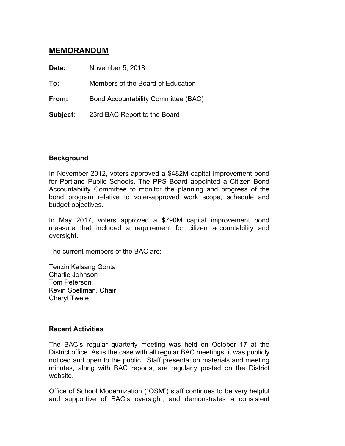# **MEMORANDUM**

**Date:** November 5, 2018 **To:** Members of the Board of Education **From:** Bond Accountability Committee (BAC) **Subject**: 23rd BAC Report to the Board

#### **Background**

In November 2012, voters approved a \$482M capital improvement bond for Portland Public Schools. The PPS Board appointed a Citizen Bond Accountability Committee to monitor the planning and progress of the bond program relative to voter-approved work scope, schedule and budget objectives.

In May 2017, voters approved a \$790M capital improvement bond measure that included a requirement for citizen accountability and oversight.

The current members of the BAC are:

Tenzin Kalsang Gonta Charlie Johnson Tom Peterson Kevin Spellman, Chair Cheryl Twete

#### **Recent Activities**

The BAC's regular quarterly meeting was held on October 17 at the District office. As is the case with all regular BAC meetings, it was publicly noticed and open to the public. Staff presentation materials and meeting minutes, along with BAC reports, are regularly posted on the District website.

Office of School Modernization ("OSM") staff continues to be very helpful and supportive of BAC's oversight, and demonstrates a consistent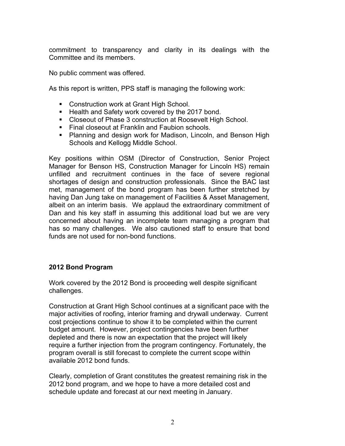commitment to transparency and clarity in its dealings with the Committee and its members.

No public comment was offered.

As this report is written, PPS staff is managing the following work:

- Construction work at Grant High School.
- Health and Safety work covered by the 2017 bond.
- Closeout of Phase 3 construction at Roosevelt High School.
- Final closeout at Franklin and Faubion schools.
- Planning and design work for Madison, Lincoln, and Benson High Schools and Kellogg Middle School.

Key positions within OSM (Director of Construction, Senior Project Manager for Benson HS, Construction Manager for Lincoln HS) remain unfilled and recruitment continues in the face of severe regional shortages of design and construction professionals. Since the BAC last met, management of the bond program has been further stretched by having Dan Jung take on management of Facilities & Asset Management, albeit on an interim basis. We applaud the extraordinary commitment of Dan and his key staff in assuming this additional load but we are very concerned about having an incomplete team managing a program that has so many challenges. We also cautioned staff to ensure that bond funds are not used for non-bond functions.

## **2012 Bond Program**

Work covered by the 2012 Bond is proceeding well despite significant challenges.

Construction at Grant High School continues at a significant pace with the major activities of roofing, interior framing and drywall underway. Current cost projections continue to show it to be completed within the current budget amount. However, project contingencies have been further depleted and there is now an expectation that the project will likely require a further injection from the program contingency. Fortunately, the program overall is still forecast to complete the current scope within available 2012 bond funds.

Clearly, completion of Grant constitutes the greatest remaining risk in the 2012 bond program, and we hope to have a more detailed cost and schedule update and forecast at our next meeting in January.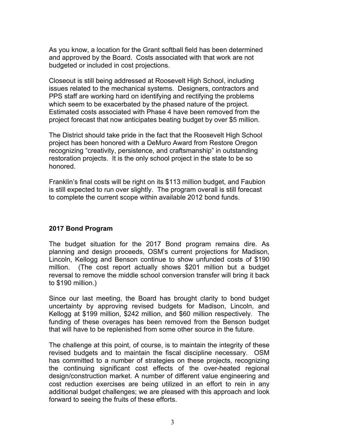As you know, a location for the Grant softball field has been determined and approved by the Board. Costs associated with that work are not budgeted or included in cost projections.

Closeout is still being addressed at Roosevelt High School, including issues related to the mechanical systems. Designers, contractors and PPS staff are working hard on identifying and rectifying the problems which seem to be exacerbated by the phased nature of the project. Estimated costs associated with Phase 4 have been removed from the project forecast that now anticipates beating budget by over \$5 million.

The District should take pride in the fact that the Roosevelt High School project has been honored with a DeMuro Award from Restore Oregon recognizing "creativity, persistence, and craftsmanship" in outstanding restoration projects. It is the only school project in the state to be so honored.

Franklin's final costs will be right on its \$113 million budget, and Faubion is still expected to run over slightly. The program overall is still forecast to complete the current scope within available 2012 bond funds.

## **2017 Bond Program**

The budget situation for the 2017 Bond program remains dire. As planning and design proceeds, OSM's current projections for Madison, Lincoln, Kellogg and Benson continue to show unfunded costs of \$190 million. (The cost report actually shows \$201 million but a budget reversal to remove the middle school conversion transfer will bring it back to \$190 million.)

Since our last meeting, the Board has brought clarity to bond budget uncertainty by approving revised budgets for Madison, Lincoln, and Kellogg at \$199 million, \$242 million, and \$60 million respectively. The funding of these overages has been removed from the Benson budget that will have to be replenished from some other source in the future.

The challenge at this point, of course, is to maintain the integrity of these revised budgets and to maintain the fiscal discipline necessary. OSM has committed to a number of strategies on these projects, recognizing the continuing significant cost effects of the over-heated regional design/construction market. A number of different value engineering and cost reduction exercises are being utilized in an effort to rein in any additional budget challenges; we are pleased with this approach and look forward to seeing the fruits of these efforts.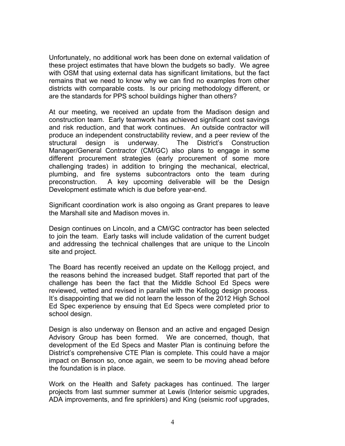Unfortunately, no additional work has been done on external validation of these project estimates that have blown the budgets so badly. We agree with OSM that using external data has significant limitations, but the fact remains that we need to know why we can find no examples from other districts with comparable costs. Is our pricing methodology different, or are the standards for PPS school buildings higher than others?

At our meeting, we received an update from the Madison design and construction team. Early teamwork has achieved significant cost savings and risk reduction, and that work continues. An outside contractor will produce an independent constructability review, and a peer review of the structural design is underway. The District's Construction Manager/General Contractor (CM/GC) also plans to engage in some different procurement strategies (early procurement of some more challenging trades) in addition to bringing the mechanical, electrical, plumbing, and fire systems subcontractors onto the team during preconstruction. A key upcoming deliverable will be the Design Development estimate which is due before year-end.

Significant coordination work is also ongoing as Grant prepares to leave the Marshall site and Madison moves in.

Design continues on Lincoln, and a CM/GC contractor has been selected to join the team. Early tasks will include validation of the current budget and addressing the technical challenges that are unique to the Lincoln site and project.

The Board has recently received an update on the Kellogg project, and the reasons behind the increased budget. Staff reported that part of the challenge has been the fact that the Middle School Ed Specs were reviewed, vetted and revised in parallel with the Kellogg design process. It's disappointing that we did not learn the lesson of the 2012 High School Ed Spec experience by ensuing that Ed Specs were completed prior to school design.

Design is also underway on Benson and an active and engaged Design Advisory Group has been formed. We are concerned, though, that development of the Ed Specs and Master Plan is continuing before the District's comprehensive CTE Plan is complete. This could have a major impact on Benson so, once again, we seem to be moving ahead before the foundation is in place.

Work on the Health and Safety packages has continued. The larger projects from last summer summer at Lewis (Interior seismic upgrades, ADA improvements, and fire sprinklers) and King (seismic roof upgrades,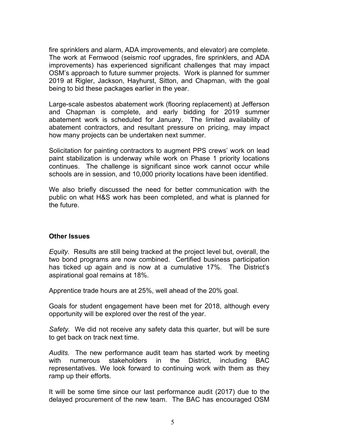fire sprinklers and alarm, ADA improvements, and elevator) are complete. The work at Fernwood (seismic roof upgrades, fire sprinklers, and ADA improvements) has experienced significant challenges that may impact OSM's approach to future summer projects. Work is planned for summer 2019 at Rigler, Jackson, Hayhurst, Sitton, and Chapman, with the goal being to bid these packages earlier in the year.

Large-scale asbestos abatement work (flooring replacement) at Jefferson and Chapman is complete, and early bidding for 2019 summer abatement work is scheduled for January. The limited availability of abatement contractors, and resultant pressure on pricing, may impact how many projects can be undertaken next summer.

Solicitation for painting contractors to augment PPS crews' work on lead paint stabilization is underway while work on Phase 1 priority locations continues. The challenge is significant since work cannot occur while schools are in session, and 10,000 priority locations have been identified.

We also briefly discussed the need for better communication with the public on what H&S work has been completed, and what is planned for the future.

#### **Other Issues**

*Equity*. Results are still being tracked at the project level but, overall, the two bond programs are now combined. Certified business participation has ticked up again and is now at a cumulative 17%. The District's aspirational goal remains at 18%.

Apprentice trade hours are at 25%, well ahead of the 20% goal.

Goals for student engagement have been met for 2018, although every opportunity will be explored over the rest of the year.

*Safety.* We did not receive any safety data this quarter, but will be sure to get back on track next time.

*Audits.* The new performance audit team has started work by meeting with numerous stakeholders in the District, including BAC representatives. We look forward to continuing work with them as they ramp up their efforts.

It will be some time since our last performance audit (2017) due to the delayed procurement of the new team. The BAC has encouraged OSM